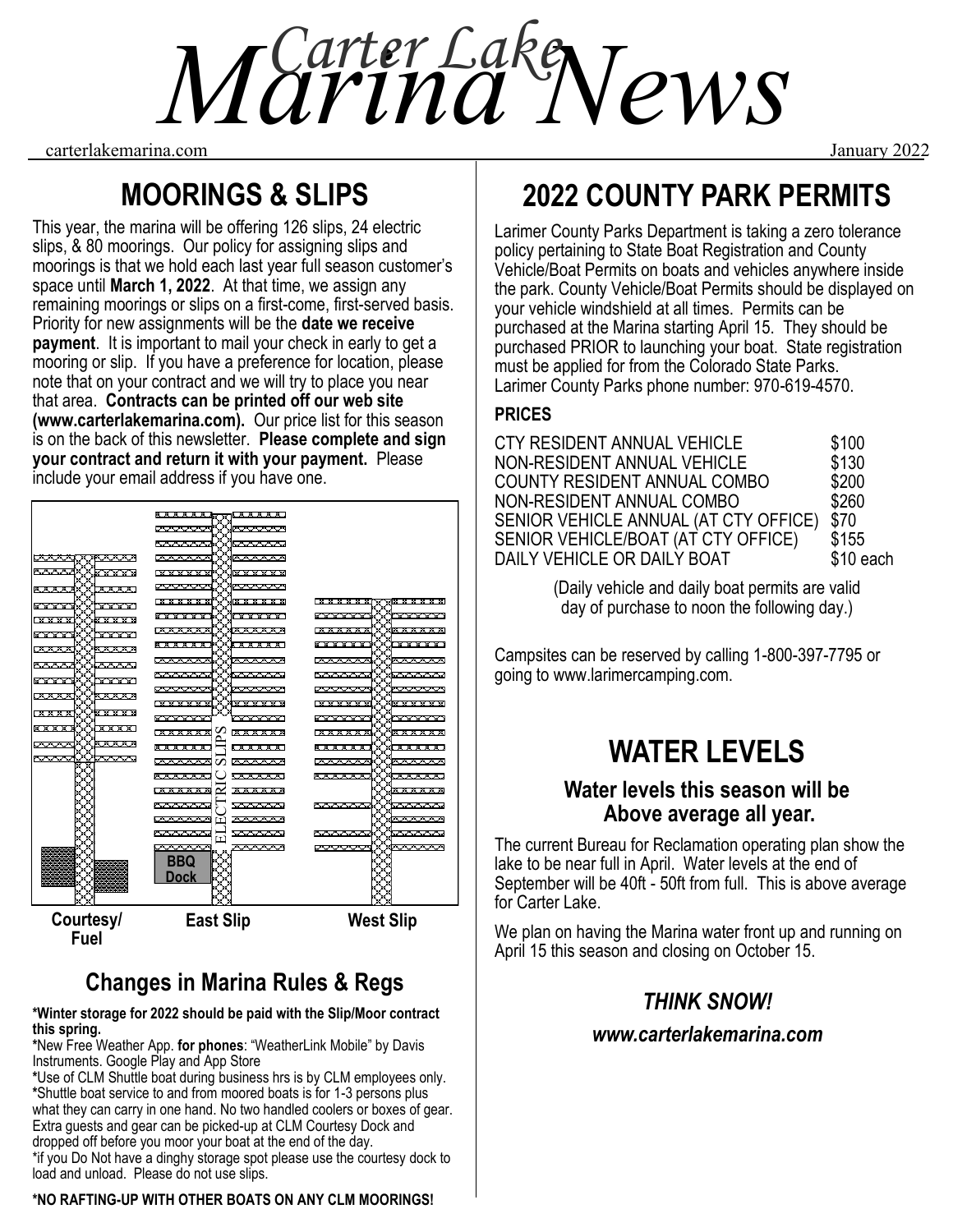*Marina News Carter Lake*

carterlakemarina.com January 2022

# **MOORINGS & SLIPS**

This year, the marina will be offering 126 slips, 24 electric slips, & 80 moorings. Our policy for assigning slips and moorings is that we hold each last year full season customer's space until **March 1, 2022**. At that time, we assign any remaining moorings or slips on a first-come, first-served basis. Priority for new assignments will be the **date we receive payment**. It is important to mail your check in early to get a mooring or slip. If you have a preference for location, please note that on your contract and we will try to place you near that area. **Contracts can be printed off our web site (www.carterlakemarina.com).** Our price list for this season is on the back of this newsletter. **Please complete and sign your contract and return it with your payment.** Please include your email address if you have one.

|                              | <b>Barbara</b>                                           |                                       |
|------------------------------|----------------------------------------------------------|---------------------------------------|
|                              | www<br><b>AAAAA</b>                                      |                                       |
|                              | <del>www.</del><br><del>randar</del>                     |                                       |
| <b>XXXXXX</b><br><b>YYYY</b> | mmm<br>mmm                                               |                                       |
| ∾∽<br><b>XXXX</b>            | <b>XXXXXX</b><br><b>XXXXXX</b>                           |                                       |
| www<br>2                     | ы х х х х х 1<br>8 X X X X X I                           |                                       |
| XXXXX<br>XXXXX               | <b><i><u>xxxxxx</u>x</i></b><br><b>xxxxxx</b>            | <b>XXXXXX</b><br><u>x x x x x x x</u> |
| XXXXX<br>×<br><b>XXXXX</b>   | .<br>.                                                   | <b>XXXXX</b><br>* * * * * *           |
| <u>aaaanaaaan </u>           | maaaan<br><u> AAAAAA</u>                                 | ススススス<br>XX <del>xxxxx</del> x        |
| <u> WWW.WWWW.WW</u>          | スススス<br>スルスススス                                           | へへへへへへ<br><u>ULANAN</u>               |
| <b>AAADA ARAAD</b>           | <del>n∽∽</del><br>mmm                                    | mmm<br><del>n vivi</del>              |
| <u> KXXXXXXXX</u>            | manan<br>waann                                           | manan<br><b>MAAAAA</b>                |
| www<br>いへへへい                 | ਲਿਲਿਕਲਿਕ<br><u> XXXXXXI</u>                              | x x x x x x<br>******                 |
|                              | <u>x maa a a a a a</u><br>1 X X X X X X                  | I X X X X X X<br>x xix x x x x x      |
| <b>XXXXXXXXXX</b>            | xxxxxx<br>8 X X X X X I                                  | .<br>******                           |
| <u>vaaan</u><br>AAAN         | <u> Maxxxd</u><br>. * * * * * *                          | XXXXXXXX<br>******                    |
| Í<br>Į                       | へへへへへへ<br><u>NAMAN</u>                                   | nnnn<br>www                           |
| <b>XXXXVXXXXX</b>            | ススススス<br>$\mathcal{L}$<br>-----                          | ススススス<br><u>araaan</u>                |
|                              | <b>AVENUE</b><br><u>www.w</u>                            | <u>radaana</u><br>1 <del>000000</del> |
|                              | www<br>m<br>≃                                            | m                                     |
|                              | -----<br><b>AAAAA</b>                                    | $\sim$ $\sim$<br>~~~~~                |
|                              | <b>MANANG</b><br><b>AYYYYY</b><br>٢٣١                    | <del>vvvv</del>                       |
|                              | <b>AAAAAA</b><br><b>AAAAA</b>                            | <del>88888</del><br><b>AAAAA</b>      |
|                              | <u> Windows S</u><br>$\sim$ $\sim$ $\sim$<br>BBQ<br>Dock | <u>tovov v</u><br><u>KAAAAA</u>       |
|                              |                                                          |                                       |
| Courtesy/                    | <b>East Slip</b>                                         | <b>West Slip</b>                      |

**Fuel** 

# **Changes in Marina Rules & Regs**

**\*Winter storage for 2022 should be paid with the Slip/Moor contract this spring.**

**\***New Free Weather App. **for phones**: "WeatherLink Mobile" by Davis Instruments. Google Play and App Store

**\***Use of CLM Shuttle boat during business hrs is by CLM employees only. **\***Shuttle boat service to and from moored boats is for 1-3 persons plus what they can carry in one hand. No two handled coolers or boxes of gear. Extra guests and gear can be picked-up at CLM Courtesy Dock and dropped off before you moor your boat at the end of the day.

\*if you Do Not have a dinghy storage spot please use the courtesy dock to load and unload. Please do not use slips.

#### **\*NO RAFTING-UP WITH OTHER BOATS ON ANY CLM MOORINGS!**

# **2022 COUNTY PARK PERMITS**

Larimer County Parks Department is taking a zero tolerance policy pertaining to State Boat Registration and County Vehicle/Boat Permits on boats and vehicles anywhere inside the park. County Vehicle/Boat Permits should be displayed on your vehicle windshield at all times. Permits can be purchased at the Marina starting April 15. They should be purchased PRIOR to launching your boat. State registration must be applied for from the Colorado State Parks. Larimer County Parks phone number: 970-619-4570.

## **PRICES**

| CTY RESIDENT ANNUAL VEHICLE           | \$100     |
|---------------------------------------|-----------|
| NON-RESIDENT ANNUAL VEHICLE           | \$130     |
| COUNTY RESIDENT ANNUAL COMBO          | \$200     |
| NON-RESIDENT ANNUAL COMBO             | \$260     |
| SENIOR VEHICLE ANNUAL (AT CTY OFFICE) | \$70      |
| SENIOR VEHICLE/BOAT (AT CTY OFFICE)   | \$155     |
| DAILY VEHICLE OR DAILY BOAT           | \$10 each |

(Daily vehicle and daily boat permits are valid day of purchase to noon the following day.)

Campsites can be reserved by calling 1-800-397-7795 or going to www.larimercamping.com.

# **WATER LEVELS**

## **Water levels this season will be Above average all year.**

The current Bureau for Reclamation operating plan show the lake to be near full in April. Water levels at the end of September will be 40ft - 50ft from full. This is above average for Carter Lake.

We plan on having the Marina water front up and running on April 15 this season and closing on October 15.

## *THINK SNOW!*

## *www.carterlakemarina.com*